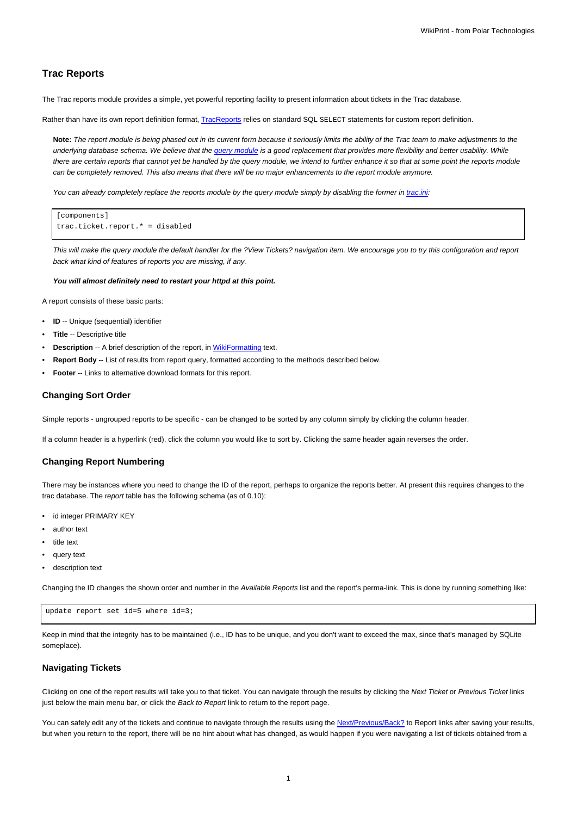# **Trac Reports**

The Trac reports module provides a simple, yet powerful reporting facility to present information about tickets in the Trac database.

Rather than have its own report definition format, [TracReports](https://meteo.unican.es/trac/wiki/TracReports) relies on standard SQL SELECT statements for custom report definition.

**Note:** The report module is being phased out in its current form because it seriously limits the ability of the Trac team to make adjustments to the underlying database schema. We believe that the [query module](https://meteo.unican.es/trac/wiki/TracQuery) is a good replacement that provides more flexibility and better usability. While there are certain reports that cannot yet be handled by the query module, we intend to further enhance it so that at some point the reports module can be completely removed. This also means that there will be no major enhancements to the report module anymore.

You can already completely replace the reports module by the query module simply by disabling the former in [trac.ini:](https://meteo.unican.es/trac/wiki/TracIni)

```
[components]
trac.ticket.report.* = disabled
```
This will make the query module the default handler for the ?View Tickets? navigation item. We encourage you to try this configuration and report back what kind of features of reports you are missing, if any.

#### **You will almost definitely need to restart your httpd at this point.**

A report consists of these basic parts:

- **ID** -- Unique (sequential) identifier
- **Title** -- Descriptive title
- **Description** -- A brief description of the report, in [WikiFormatting](https://meteo.unican.es/trac/wiki/WikiFormatting) text.
- **Report Body** -- List of results from report query, formatted according to the methods described below.
- **Footer** -- Links to alternative download formats for this report.

### **Changing Sort Order**

Simple reports - ungrouped reports to be specific - can be changed to be sorted by any column simply by clicking the column header.

If a column header is a hyperlink (red), click the column you would like to sort by. Clicking the same header again reverses the order.

## **Changing Report Numbering**

There may be instances where you need to change the ID of the report, perhaps to organize the reports better. At present this requires changes to the trac database. The report table has the following schema (as of 0.10):

- id integer PRIMARY KEY
- author text
- title text
- query text
- description text

Changing the ID changes the shown order and number in the Available Reports list and the report's perma-link. This is done by running something like:

update report set id=5 where id=3;

Keep in mind that the integrity has to be maintained (i.e., ID has to be unique, and you don't want to exceed the max, since that's managed by SQLite someplace).

### **Navigating Tickets**

Clicking on one of the report results will take you to that ticket. You can navigate through the results by clicking the Next Ticket or Previous Ticket links just below the main menu bar, or click the Back to Report link to return to the report page.

You can safely edit any of the tickets and continue to navigate through the results using the Next/Previous/Back? to Report links after saving your results, but when you return to the report, there will be no hint about what has changed, as would happen if you were navigating a list of tickets obtained from a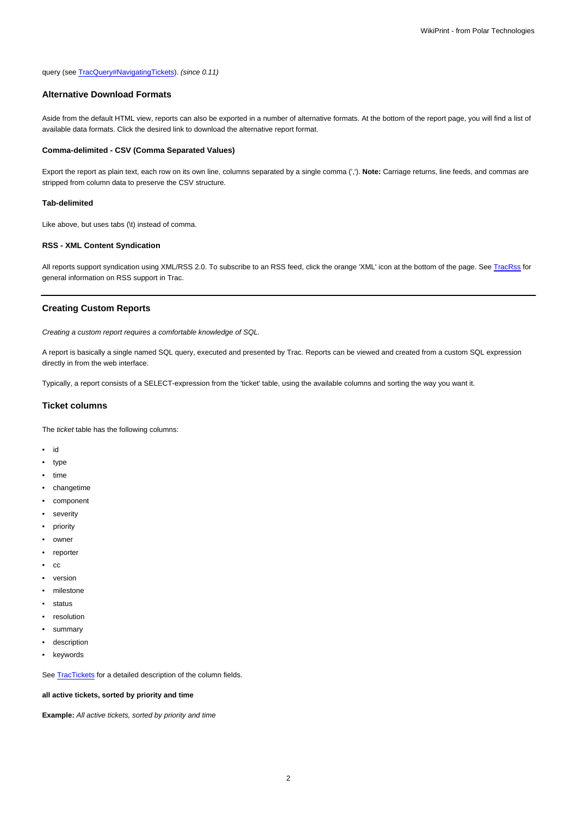### query (see [TracQuery#NavigatingTickets\)](https://meteo.unican.es/trac/wiki/TracQuery#NavigatingTickets). (since 0.11)

### **Alternative Download Formats**

Aside from the default HTML view, reports can also be exported in a number of alternative formats. At the bottom of the report page, you will find a list of available data formats. Click the desired link to download the alternative report format.

### **Comma-delimited - CSV (Comma Separated Values)**

Export the report as plain text, each row on its own line, columns separated by a single comma (','). **Note:** Carriage returns, line feeds, and commas are stripped from column data to preserve the CSV structure.

### **Tab-delimited**

Like above, but uses tabs (\t) instead of comma.

### **RSS - XML Content Syndication**

All reports support syndication using XML/RSS 2.0. To subscribe to an RSS feed, click the orange 'XML' icon at the bottom of the page. See [TracRss](https://meteo.unican.es/trac/wiki/TracRss) for general information on RSS support in Trac.

### **Creating Custom Reports**

Creating a custom report requires a comfortable knowledge of SQL.

A report is basically a single named SQL query, executed and presented by Trac. Reports can be viewed and created from a custom SQL expression directly in from the web interface.

Typically, a report consists of a SELECT-expression from the 'ticket' table, using the available columns and sorting the way you want it.

### **Ticket columns**

The ticket table has the following columns:

- id
- type
- time
- changetime
- component
- severity
- priority
- owner
- reporter
- cc
- version
- milestone
- status
- resolution
- summary
- description
- keywords

See [TracTickets](https://meteo.unican.es/trac/wiki/TracTickets) for a detailed description of the column fields.

### **all active tickets, sorted by priority and time**

**Example:** All active tickets, sorted by priority and time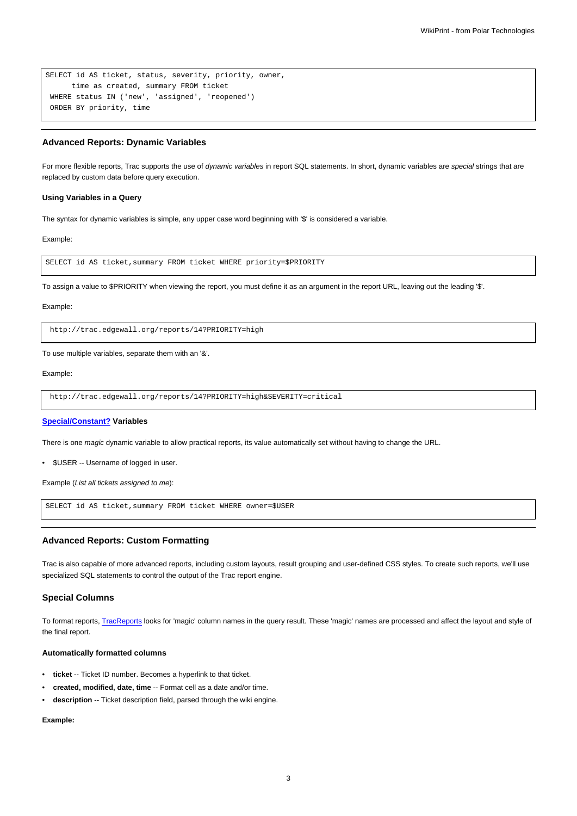```
SELECT id AS ticket, status, severity, priority, owner,
     time as created, summary FROM ticket
WHERE status IN ('new', 'assigned', 'reopened')
ORDER BY priority, time
```
### **Advanced Reports: Dynamic Variables**

For more flexible reports, Trac supports the use of dynamic variables in report SQL statements. In short, dynamic variables are special strings that are replaced by custom data before query execution.

#### **Using Variables in a Query**

The syntax for dynamic variables is simple, any upper case word beginning with '\$' is considered a variable.

#### Example:

SELECT id AS ticket,summary FROM ticket WHERE priority=\$PRIORITY

To assign a value to \$PRIORITY when viewing the report, you must define it as an argument in the report URL, leaving out the leading '\$'.

#### Example:

http://trac.edgewall.org/reports/14?PRIORITY=high

#### To use multiple variables, separate them with an '&'.

#### Example:

http://trac.edgewall.org/reports/14?PRIORITY=high&SEVERITY=critical

#### **Special/Constant? Variables**

There is one magic dynamic variable to allow practical reports, its value automatically set without having to change the URL.

• \$USER -- Username of logged in user.

Example (List all tickets assigned to me):

SELECT id AS ticket,summary FROM ticket WHERE owner=\$USER

## **Advanced Reports: Custom Formatting**

Trac is also capable of more advanced reports, including custom layouts, result grouping and user-defined CSS styles. To create such reports, we'll use specialized SQL statements to control the output of the Trac report engine.

### **Special Columns**

To format reports, [TracReports](https://meteo.unican.es/trac/wiki/TracReports) looks for 'magic' column names in the query result. These 'magic' names are processed and affect the layout and style of the final report.

### **Automatically formatted columns**

- **ticket** -- Ticket ID number. Becomes a hyperlink to that ticket.
- **created, modified, date, time** -- Format cell as a date and/or time.
- **description** -- Ticket description field, parsed through the wiki engine.

### **Example:**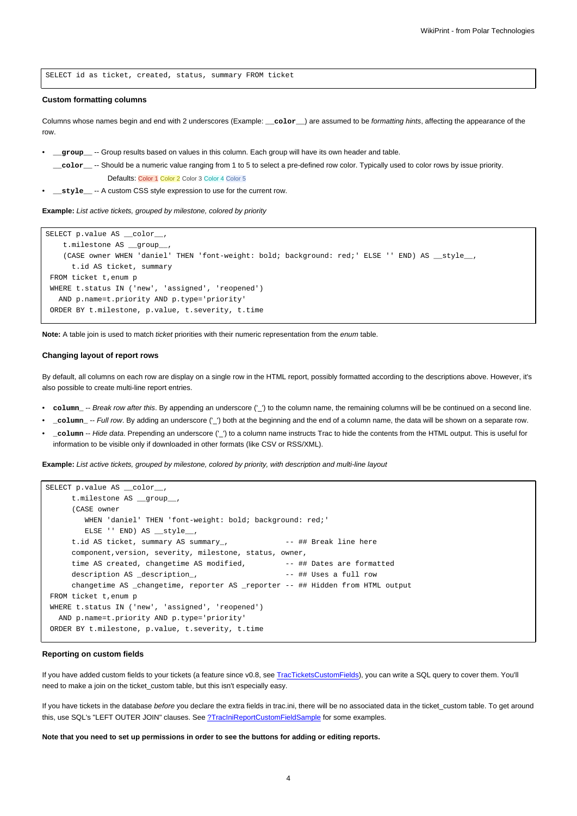SELECT id as ticket, created, status, summary FROM ticket

#### **Custom formatting columns**

Columns whose names begin and end with 2 underscores (Example: **\_\_color\_\_**) are assumed to be formatting hints, affecting the appearance of the row.

- **\_\_group\_\_** -- Group results based on values in this column. Each group will have its own header and table.
- **\_\_color\_\_** -- Should be a numeric value ranging from 1 to 5 to select a pre-defined row color. Typically used to color rows by issue priority. Defaults: Color 1 Color 2 Color 3 Color 4 Color 5
- **\_\_style\_\_ --** A custom CSS style expression to use for the current row.

**Example:** List active tickets, grouped by milestone, colored by priority

```
SELECT p.value AS __color__,
   t.milestone AS __group__,
   (CASE owner WHEN 'daniel' THEN 'font-weight: bold; background: red;' ELSE '' END) AS __style__,
     t.id AS ticket, summary
FROM ticket t,enum p
WHERE t.status IN ('new', 'assigned', 'reopened')
  AND p.name=t.priority AND p.type='priority'
ORDER BY t.milestone, p.value, t.severity, t.time
```
**Note:** A table join is used to match ticket priorities with their numeric representation from the enum table.

#### **Changing layout of report rows**

By default, all columns on each row are display on a single row in the HTML report, possibly formatted according to the descriptions above. However, it's also possible to create multi-line report entries.

- **column\_** -- Break row after this. By appending an underscore ('\_') to the column name, the remaining columns will be be continued on a second line.
- **\_column\_** -- Full row. By adding an underscore ('\_') both at the beginning and the end of a column name, the data will be shown on a separate row.
- **\_column** -- Hide data. Prepending an underscore ('\_') to a column name instructs Trac to hide the contents from the HTML output. This is useful for information to be visible only if downloaded in other formats (like CSV or RSS/XML).

**Example:** List active tickets, grouped by milestone, colored by priority, with description and multi-line layout

```
SELECT p.value AS __color
     t.milestone AS __group__,
     (CASE owner
        WHEN 'daniel' THEN 'font-weight: bold; background: red;'
        ELSE '' END) AS style
     t.id AS ticket, summary AS summary_, -- ## Break line here
     component,version, severity, milestone, status, owner,
     time AS created, changetime AS modified, - + ## Dates are formatted
     description AS _description_, - +# Uses a full row
     changetime AS _changetime, reporter AS _reporter -- ## Hidden from HTML output
FROM ticket t,enum p
WHERE t.status IN ('new', 'assigned', 'reopened')
  AND p.name=t.priority AND p.type='priority'
ORDER BY t.milestone, p.value, t.severity, t.time
```
#### **Reporting on custom fields**

If you have added custom fields to your tickets (a feature since v0.8, see [TracTicketsCustomFields](https://meteo.unican.es/trac/wiki/TracTicketsCustomFields)), you can write a SQL query to cover them. You'll need to make a join on the ticket custom table, but this isn't especially easy.

If you have tickets in the database before you declare the extra fields in trac.ini, there will be no associated data in the ticket\_custom table. To get around this, use SQL's "LEFT OUTER JOIN" clauses. See [?TracIniReportCustomFieldSample](http://trac.edgewall.org/intertrac/TracIniReportCustomFieldSample) for some examples.

**Note that you need to set up permissions in order to see the buttons for adding or editing reports.**